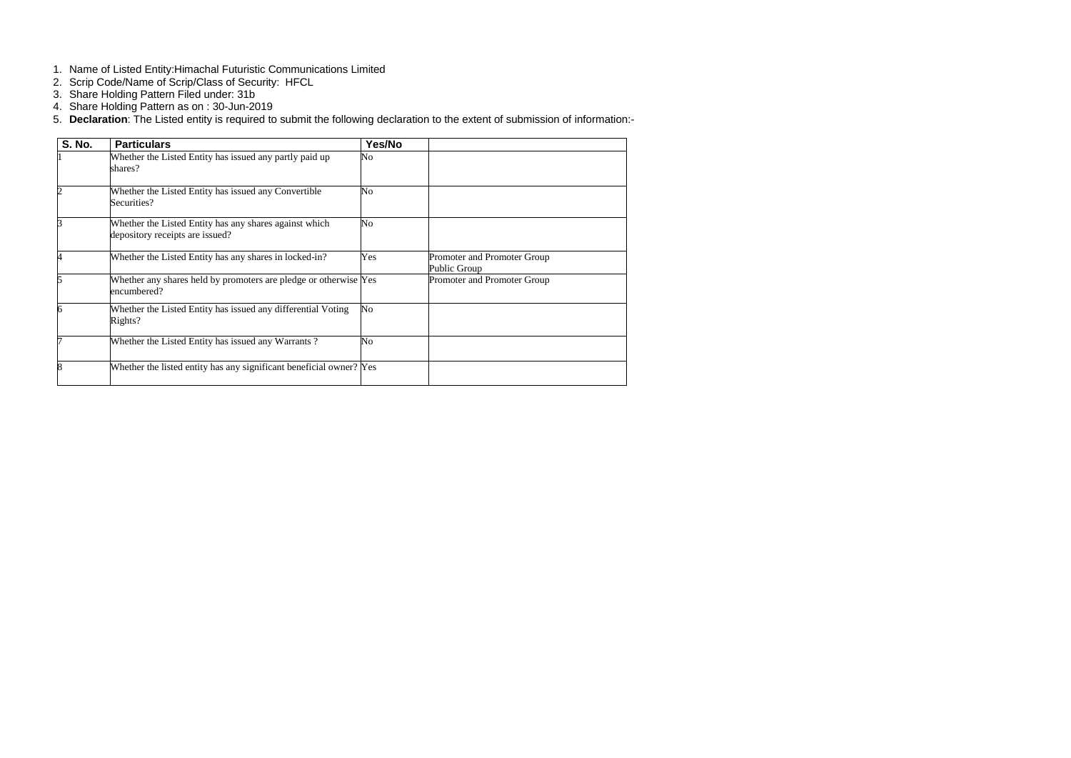- 1. Name of Listed Entity:Himachal Futuristic Communications Limited
- 2. Scrip Code/Name of Scrip/Class of Security: HFCL
- 3. Share Holding Pattern Filed under: 31b
- 4. Share Holding Pattern as on : 30-Jun-2019
- 5. **Declaration**: The Listed entity is required to submit the following declaration to the extent of submission of information:-

| <b>S. No.</b> | <b>Particulars</b>                                                                        | Yes/No         |                                             |
|---------------|-------------------------------------------------------------------------------------------|----------------|---------------------------------------------|
|               | Whether the Listed Entity has issued any partly paid up<br>shares?                        | No             |                                             |
|               | Whether the Listed Entity has issued any Convertible<br>Securities?                       | N <sub>o</sub> |                                             |
|               | Whether the Listed Entity has any shares against which<br>depository receipts are issued? | No             |                                             |
|               | Whether the Listed Entity has any shares in locked-in?                                    | Yes            | Promoter and Promoter Group<br>Public Group |
|               | Whether any shares held by promoters are pledge or otherwise Yes<br>encumbered?           |                | Promoter and Promoter Group                 |
|               | Whether the Listed Entity has issued any differential Voting<br>Rights?                   | N <sub>o</sub> |                                             |
|               | Whether the Listed Entity has issued any Warrants?                                        | N <sub>o</sub> |                                             |
|               | Whether the listed entity has any significant beneficial owner? Yes                       |                |                                             |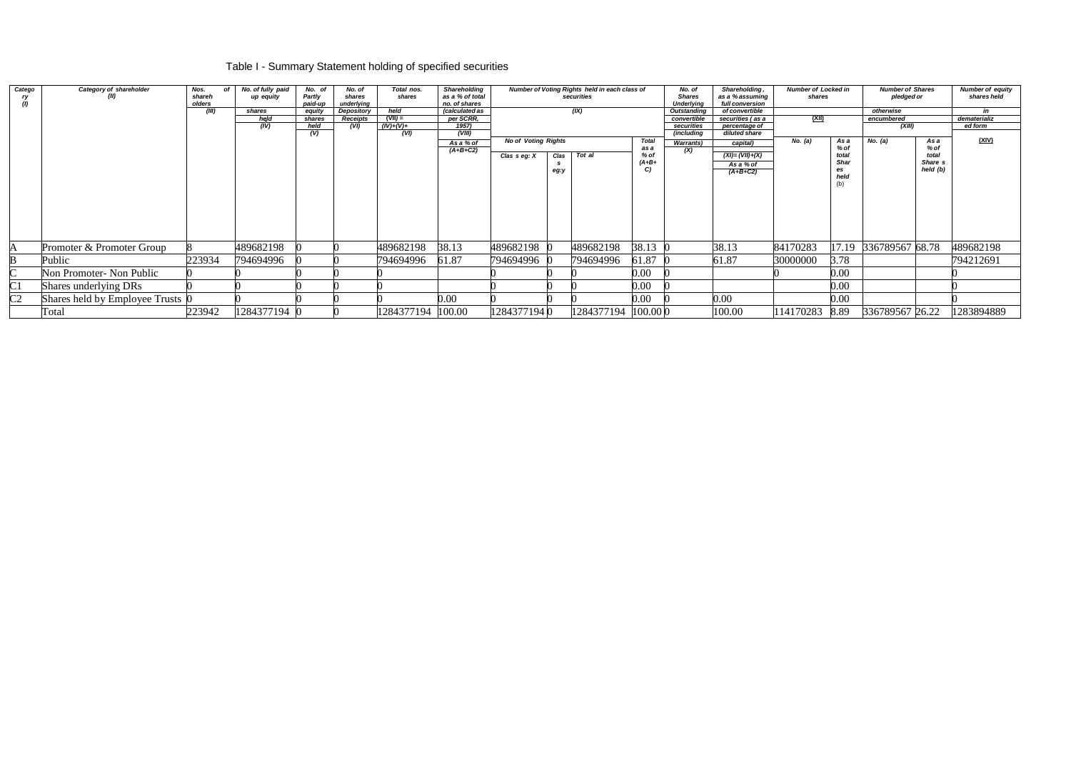# Table I - Summary Statement holding of specified securities

| Catego<br>ry<br>(1) | Category of shareholder<br>(II)  | Nos.<br>shareh<br>olders | No. of fully paid<br>of<br>up equity | No. of<br>Partly<br>paid-up | No. of<br>shares<br>underlying | Total nos.<br>shares | <b>Shareholding</b><br>as a % of total<br>no. of shares |                            | Number of Voting Rights held in each class of<br>securities |            | No. of<br><b>Shares</b><br><b>Underlying</b> | Shareholding<br>as a % assuming<br>full conversion |                                | <b>Number of Locked in</b><br>shares |             | <b>Number of Shares</b><br>pledged or |          |              |
|---------------------|----------------------------------|--------------------------|--------------------------------------|-----------------------------|--------------------------------|----------------------|---------------------------------------------------------|----------------------------|-------------------------------------------------------------|------------|----------------------------------------------|----------------------------------------------------|--------------------------------|--------------------------------------|-------------|---------------------------------------|----------|--------------|
|                     |                                  | (III)                    | shares                               | equity                      | Depository                     | held                 | (calculated as                                          |                            |                                                             | (IX)       |                                              | <b>Outstanding</b>                                 | of convertible                 |                                      |             | otherwise                             |          | in           |
|                     |                                  |                          | held                                 | shares                      | Receipts                       | $(VII) =$            | per SCRR,                                               |                            |                                                             |            |                                              | convertible                                        | securities (as a               | (XII)                                |             | encumbered                            |          | dematerializ |
|                     |                                  |                          | (IV)                                 | held                        | (VI)                           | $(IV)+(V)+$          | 1957)<br>(VIII)                                         |                            |                                                             |            |                                              | securities<br>(including                           | percentage of<br>diluted share |                                      |             | (XIII)                                |          | ed form      |
|                     |                                  |                          |                                      | (V)                         |                                | (VI)                 |                                                         | <b>No of Voting Rights</b> |                                                             |            | <b>Total</b>                                 |                                                    |                                | No. (a)                              | As a        | No. (a)                               | As a     | (XIV)        |
|                     |                                  |                          |                                      |                             |                                |                      | As a % of                                               |                            |                                                             |            | as a                                         | <b>Warrants</b> )                                  | capital)                       |                                      | % of        |                                       | % of     |              |
|                     |                                  |                          |                                      |                             |                                |                      | $(A+B+C2)$                                              | Clas seg: X                | Clas                                                        | Tot al     | % of                                         | (X)                                                | $(XI) = (VII)+(X)$             |                                      | total       |                                       | total    |              |
|                     |                                  |                          |                                      |                             |                                |                      |                                                         |                            |                                                             |            | $(A+B+$                                      |                                                    | As a % of                      |                                      | <b>Shar</b> |                                       | Share s  |              |
|                     |                                  |                          |                                      |                             |                                |                      |                                                         |                            | eg:y                                                        |            | C                                            |                                                    | $(A+B+C2)$                     |                                      | es          |                                       | held (b) |              |
|                     |                                  |                          |                                      |                             |                                |                      |                                                         |                            |                                                             |            |                                              |                                                    |                                |                                      | held        |                                       |          |              |
|                     |                                  |                          |                                      |                             |                                |                      |                                                         |                            |                                                             |            |                                              |                                                    |                                |                                      | (b)         |                                       |          |              |
|                     |                                  |                          |                                      |                             |                                |                      |                                                         |                            |                                                             |            |                                              |                                                    |                                |                                      |             |                                       |          |              |
|                     |                                  |                          |                                      |                             |                                |                      |                                                         |                            |                                                             |            |                                              |                                                    |                                |                                      |             |                                       |          |              |
|                     |                                  |                          |                                      |                             |                                |                      |                                                         |                            |                                                             |            |                                              |                                                    |                                |                                      |             |                                       |          |              |
|                     |                                  |                          |                                      |                             |                                |                      |                                                         |                            |                                                             |            |                                              |                                                    |                                |                                      |             |                                       |          |              |
|                     |                                  |                          |                                      |                             |                                |                      |                                                         |                            |                                                             |            |                                              |                                                    |                                |                                      |             |                                       |          |              |
|                     |                                  |                          |                                      |                             |                                |                      |                                                         |                            |                                                             |            |                                              |                                                    |                                |                                      |             |                                       |          |              |
| A                   | Promoter & Promoter Group        |                          | 489682198                            |                             |                                | 489682198            | 38.13                                                   | 489682198 0                |                                                             | 489682198  | 38.13 0                                      |                                                    | 38.13                          | 84170283                             |             | 17.19 336789567 68.78                 |          | 489682198    |
|                     | Public                           | 223934                   | 794694996                            |                             |                                | 794694996            | 61.87                                                   | 794694996 (                |                                                             | 794694996  | 61.87                                        |                                                    | 61.87                          | 30000000                             | 3.78        |                                       |          | 794212691    |
|                     |                                  |                          |                                      |                             |                                |                      |                                                         |                            |                                                             |            |                                              |                                                    |                                |                                      |             |                                       |          |              |
| $\sim$              | Non Promoter- Non Public         |                          |                                      |                             |                                |                      |                                                         |                            |                                                             |            | 0.00                                         |                                                    |                                |                                      | 0.00        |                                       |          |              |
| $\overline{\rm C1}$ | Shares underlying DRs            |                          |                                      |                             |                                |                      |                                                         |                            |                                                             |            | 0.00                                         |                                                    |                                |                                      | 0.00        |                                       |          |              |
| $\overline{C2}$     | Shares held by Employee Trusts 0 |                          |                                      |                             |                                |                      | 0.00                                                    |                            |                                                             |            | 0.00                                         |                                                    | 0.00                           |                                      | 0.00        |                                       |          |              |
|                     | Total                            | 223942                   | 1284377194 0                         |                             |                                | 1284377194           | 100.00                                                  | 12843771940                |                                                             | 1284377194 | $100.00$ <sub>0</sub>                        |                                                    | 100.00                         | 114170283                            | 8.89        | 336789567 26.22                       |          | 1283894889   |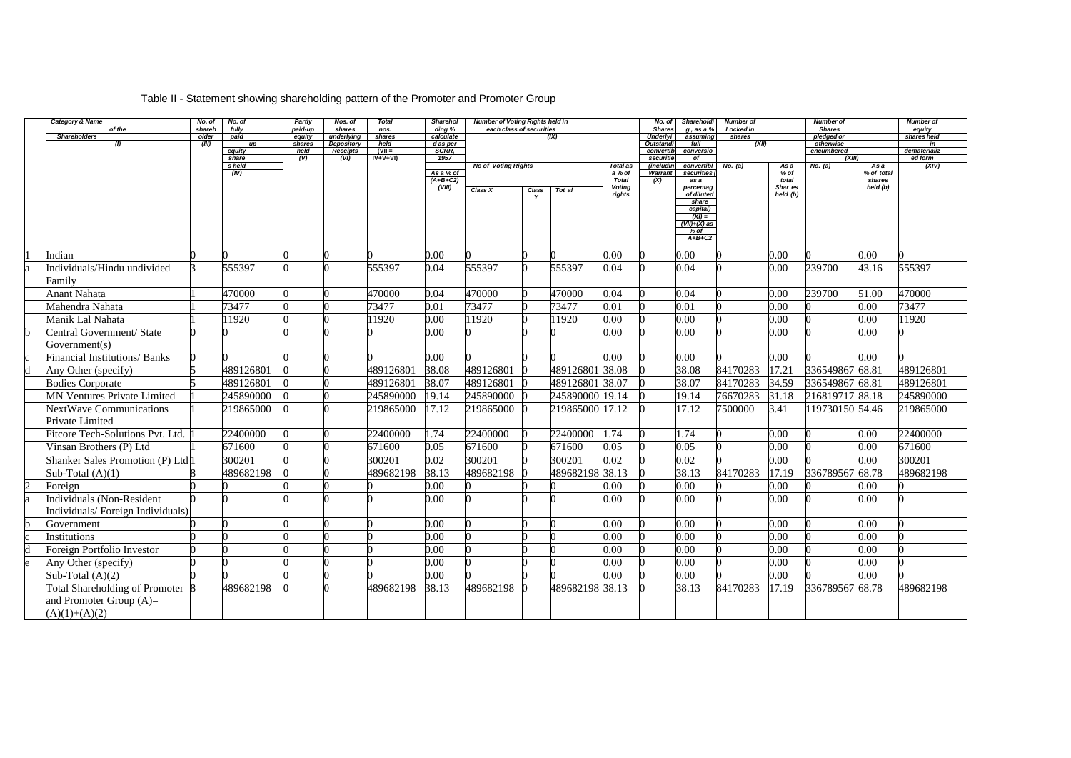# Table II - Statement showing shareholding pattern of the Promoter and Promoter Group

| <b>Category &amp; Name</b>              | No. of          | No. of         | Partly           | Nos. of              | <b>Total</b>   | <b>Sharehol</b>                   | <b>Number of Voting Rights held in</b> |       |                 |                                                     | No. of                       | Shareholdi                                                                          | Number of           |                                  | <b>Number of</b>        |                                          | <b>Number of</b>      |
|-----------------------------------------|-----------------|----------------|------------------|----------------------|----------------|-----------------------------------|----------------------------------------|-------|-----------------|-----------------------------------------------------|------------------------------|-------------------------------------------------------------------------------------|---------------------|----------------------------------|-------------------------|------------------------------------------|-----------------------|
| of the<br><b>Shareholders</b>           | shareh<br>older | fully          | paid-up          | shares<br>underlying | nos.<br>shares | ding %<br>calculate               | each class of securities               |       |                 |                                                     | <b>Shares</b>                | $q$ , as a $%$                                                                      | Locked in<br>shares |                                  | <b>Shares</b>           |                                          | equity<br>shares held |
| (1)                                     | (III)           | paid<br>up     | equity<br>shares | <b>Depository</b>    | held           | d as per                          |                                        |       | (IX)            |                                                     | <b>Underlyi</b><br>Outstandi | assuming<br>full                                                                    | (XII)               |                                  | pledged or<br>otherwise |                                          | in                    |
|                                         |                 | equity         | held             | Receipts             | $(VII =$       | <b>SCRR.</b>                      |                                        |       |                 |                                                     | convertib                    | conversio                                                                           |                     |                                  | encumbered              |                                          | dematerializ          |
|                                         |                 | share          | $\overline{(V)}$ | (VI)                 | $IV+V+VI)$     | 1957                              |                                        |       |                 |                                                     | securitie                    | of                                                                                  |                     |                                  | (XIII)                  |                                          | ed form               |
|                                         |                 | s held<br>(IV) |                  |                      |                | As a % of<br>$(A+B+C2)$<br>(VIII) | <b>No of Voting Rights</b>             |       |                 | Total as<br>a % of<br><b>Total</b><br><b>Voting</b> | (includin<br>Warrant<br>(X)  | convertibl<br>securities<br>as a<br>percentag                                       | No. (a)             | As a<br>% of<br>total<br>Shar es | No. (a)                 | As a<br>% of total<br>shares<br>held (b) | (XIV)                 |
|                                         |                 |                |                  |                      |                |                                   | Class X                                | Class | Tot al          | rights                                              |                              | of diluted<br>share<br>capital)<br>$(XI) =$<br>$(VII)+(X)$ as<br>$%$ of<br>$A+B+C2$ |                     | held (b)                         |                         |                                          |                       |
| Indian                                  |                 |                |                  |                      |                | 0.00                              |                                        |       |                 | 0.00                                                |                              | 0.00                                                                                |                     | 0.00                             |                         | 0.00                                     |                       |
|                                         |                 |                |                  |                      |                |                                   |                                        |       |                 |                                                     |                              |                                                                                     |                     |                                  |                         |                                          |                       |
| Individuals/Hindu undivided<br>Family   |                 | 555397         |                  |                      | 555397         | 0.04                              | 555397                                 |       | 555397          | 0.04                                                |                              | 0.04                                                                                |                     | 0.00                             | 239700                  | 43.16                                    | 555397                |
| <b>Anant Nahata</b>                     |                 | 470000         |                  |                      | 470000         | 0.04                              | 470000                                 |       | 470000          | 0.04                                                |                              | 0.04                                                                                |                     | 0.00                             | 239700                  | 51.00                                    | 470000                |
| Mahendra Nahata                         |                 | 73477          |                  |                      | 73477          | 0.01                              | 73477                                  |       | 73477           | 0.01                                                |                              | 0.01                                                                                |                     | 0.00                             |                         | 0.00                                     | 73477                 |
| Manik Lal Nahata                        |                 | 1920           |                  |                      | 1920           | 0.00                              | 11920                                  |       | 11920           | 0.00                                                |                              | 0.00                                                                                |                     | 0.00                             |                         | 0.00                                     | 11920                 |
| Central Government/ State               |                 |                |                  |                      |                | 0.00                              |                                        |       |                 | 0.00                                                |                              | 0.00                                                                                |                     | 0.00                             |                         | 0.00                                     |                       |
| Government(s)                           |                 |                |                  |                      |                |                                   |                                        |       |                 |                                                     |                              |                                                                                     |                     |                                  |                         |                                          |                       |
| <b>Financial Institutions/ Banks</b>    |                 |                |                  |                      |                | 0.00                              |                                        |       |                 | 0.00                                                |                              | 0.00                                                                                |                     | 0.00                             |                         | 0.00                                     |                       |
| Any Other (specify)                     |                 | 489126801      |                  |                      | 489126801      | 38.08                             | 489126801                              |       | 489126801 38.08 |                                                     |                              | 38.08                                                                               | 84170283            | 17.21                            | 336549867 68.81         |                                          | 489126801             |
| <b>Bodies Corporate</b>                 |                 | 489126801      |                  |                      | 489126801      | 38.07                             | 489126801                              |       | 489126801 38.07 |                                                     |                              | 38.07                                                                               | 84170283            | 34.59                            | 336549867 68.81         |                                          | 489126801             |
| <b>MN Ventures Private Limited</b>      |                 | 245890000      |                  |                      | 245890000      | 19.14                             | 245890000                              |       | 245890000 19.14 |                                                     |                              | 19.14                                                                               | 76670283            | 31.18                            | 216819717 88.18         |                                          | 245890000             |
| <b>NextWave Communications</b>          |                 | 219865000      |                  |                      | 219865000      | 17.12                             | 219865000                              |       | 219865000 17.12 |                                                     |                              | 17.12                                                                               | 7500000             | 3.41                             | 119730150 54.46         |                                          | 219865000             |
| Private Limited                         |                 |                |                  |                      |                |                                   |                                        |       |                 |                                                     |                              |                                                                                     |                     |                                  |                         |                                          |                       |
| <b>Fitcore Tech-Solutions Pvt. Ltd.</b> |                 | 22400000       |                  |                      | 22400000       | 1.74                              | 22400000                               |       | 22400000        | 1.74                                                |                              | 1.74                                                                                |                     | 0.00                             |                         | 0.00                                     | 22400000              |
| Vinsan Brothers (P) Ltd                 |                 | 671600         |                  |                      | 671600         | 0.05                              | 671600                                 |       | 671600          | 0.05                                                |                              | 0.05                                                                                |                     | 0.00                             |                         | 0.00                                     | 671600                |
| Shanker Sales Promotion (P) Ltd         |                 | 300201         |                  |                      | 300201         | 0.02                              | 300201                                 |       | 300201          | 0.02                                                |                              | 0.02                                                                                |                     | 0.00                             |                         | 0.00                                     | 300201                |
| Sub-Total $(A)(1)$                      |                 | 489682198      |                  |                      | 489682198      | 38.13                             | 489682198                              |       | 489682198 38.13 |                                                     |                              | 38.13                                                                               | 84170283            | 17.19                            | 336789567 68.78         |                                          | 489682198             |
| Foreign                                 |                 |                |                  |                      |                | 0.00                              |                                        |       |                 | 0.00                                                |                              | 0.00                                                                                |                     | 0.00                             |                         | 0.00                                     |                       |
| <b>Individuals (Non-Resident</b>        |                 |                |                  |                      |                | 0.00                              |                                        |       |                 | 0.00                                                |                              | 0.00                                                                                |                     | 0.00                             |                         | 0.00                                     |                       |
| Individuals/Foreign Individuals)        |                 |                |                  |                      |                |                                   |                                        |       |                 |                                                     |                              |                                                                                     |                     |                                  |                         |                                          |                       |
| Government                              |                 |                |                  |                      |                | 0.00                              |                                        |       |                 | 0.00                                                |                              | 0.00                                                                                |                     | $0.00\,$                         |                         | 0.00                                     |                       |
| Institutions                            |                 |                |                  |                      |                | 0.00                              |                                        |       |                 | 0.00                                                |                              | 0.00                                                                                |                     | 0.00                             |                         | 0.00                                     |                       |
| Foreign Portfolio Investor              |                 |                |                  |                      |                | 0.00                              |                                        |       |                 | 0.00                                                |                              | 0.00                                                                                |                     | $0.00\,$                         |                         | 0.00                                     |                       |
| Any Other (specify)                     |                 |                |                  |                      |                | 0.00                              |                                        |       |                 | 0.00                                                |                              | 0.00                                                                                |                     | 0.00                             |                         | 0.00                                     |                       |
| Sub-Total $(A)(2)$                      |                 |                |                  |                      |                | 0.00                              |                                        |       |                 | 0.00                                                |                              | 0.00                                                                                |                     | 0.00                             |                         | 0.00                                     |                       |
| Total Shareholding of Promoter 8        |                 | 489682198      |                  |                      | 489682198      | 38.13                             | 489682198 0                            |       | 489682198 38.13 |                                                     |                              | 38.13                                                                               | 84170283            | 17.19                            | 336789567 68.78         |                                          | 489682198             |
| and Promoter Group $(A)=$               |                 |                |                  |                      |                |                                   |                                        |       |                 |                                                     |                              |                                                                                     |                     |                                  |                         |                                          |                       |
| $(A)(1)+(A)(2)$                         |                 |                |                  |                      |                |                                   |                                        |       |                 |                                                     |                              |                                                                                     |                     |                                  |                         |                                          |                       |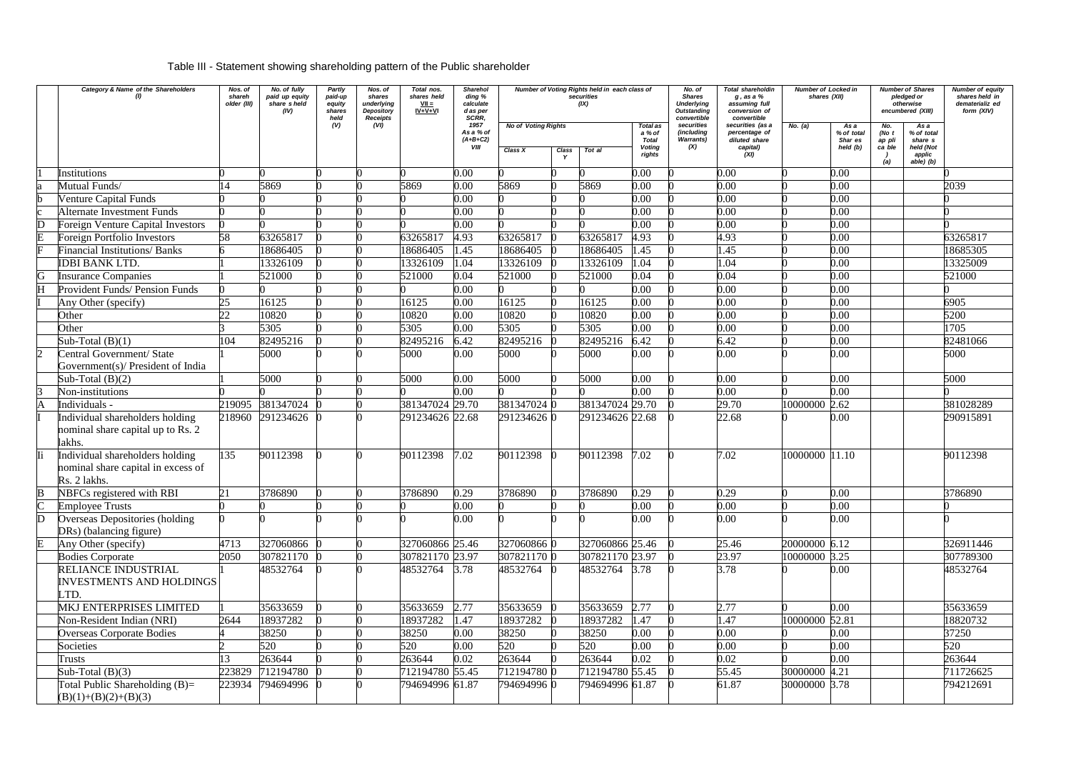# Table III - Statement showing shareholding pattern of the Public shareholder

|                             | <b>Category &amp; Name of the Shareholders</b>                                        | Nos. of<br>shareh<br>older (III) | No. of fully<br>paid up equity<br>share sheld<br>(IV) | <b>Partly</b><br>paid-up<br>equity<br>shares<br>held | Nos. of<br>shares<br>underlying<br><b>Depository</b><br><b>Receipts</b> | Total nos.<br>shares held<br>$VII =$<br>$IV + V + VI$ | <b>Sharehol</b><br>ding %<br>calculate<br>d as per<br>SCRR, |                            |                              | Number of Voting Rights held in each class of<br>securities<br>(IX) |                                    | No. of<br><b>Shares</b><br><b>Underlying</b><br><b>Outstanding</b><br>convertible | Total shareholdin<br>$g$ , as a $%$<br>assuming full<br>conversion of<br>convertible | Number of Locked in<br>shares (XII) |                               | <b>Number of Shares</b><br>pledged or<br>otherwise<br>encumbered (XIII) |                                    | Number of equity<br>shares held in<br>dematerializ ed<br>form (XIV) |
|-----------------------------|---------------------------------------------------------------------------------------|----------------------------------|-------------------------------------------------------|------------------------------------------------------|-------------------------------------------------------------------------|-------------------------------------------------------|-------------------------------------------------------------|----------------------------|------------------------------|---------------------------------------------------------------------|------------------------------------|-----------------------------------------------------------------------------------|--------------------------------------------------------------------------------------|-------------------------------------|-------------------------------|-------------------------------------------------------------------------|------------------------------------|---------------------------------------------------------------------|
|                             |                                                                                       |                                  |                                                       | (V)                                                  | (VI)                                                                    |                                                       | 1957<br>As a % of<br>$(A+B+C2)$                             | <b>No of Voting Rights</b> |                              |                                                                     | Total as<br>a % of<br><b>Total</b> | securities<br>(including<br><b>Warrants)</b>                                      | securities (as a<br>percentage of<br>diluted share                                   | No. (a)                             | As a<br>% of total<br>Shar es | No.<br>(No $t$<br>ap pli                                                | As a<br>% of total<br>share s      |                                                                     |
|                             |                                                                                       |                                  |                                                       |                                                      |                                                                         |                                                       | VIII                                                        | Class X                    | <b>Class</b><br>$\mathbf{v}$ | Tot al                                                              | <b>Voting</b><br>rights            | (X)                                                                               | capital)<br>(XI)                                                                     |                                     | held(b)                       | ca ble<br>(a)                                                           | held (Not<br>applic<br>$abie)$ (b) |                                                                     |
|                             | Institutions                                                                          |                                  |                                                       |                                                      |                                                                         |                                                       | 0.00                                                        |                            |                              |                                                                     | 0.00                               |                                                                                   | 0.00                                                                                 |                                     | 0.00                          |                                                                         |                                    |                                                                     |
|                             | Mutual Funds/                                                                         | 14                               | 5869                                                  |                                                      |                                                                         | 5869                                                  | 0.00                                                        | 5869                       |                              | 5869                                                                | 0.00                               |                                                                                   | 0.00                                                                                 |                                     | 0.00                          |                                                                         |                                    | 2039                                                                |
|                             | <b>Venture Capital Funds</b>                                                          |                                  |                                                       |                                                      |                                                                         |                                                       | 0.00                                                        |                            |                              |                                                                     | 0.00                               |                                                                                   | 0.00                                                                                 |                                     | 0.00                          |                                                                         |                                    |                                                                     |
|                             | <b>Alternate Investment Funds</b>                                                     |                                  |                                                       |                                                      |                                                                         |                                                       | 0.00                                                        |                            |                              |                                                                     | 0.00                               |                                                                                   | 0.00                                                                                 |                                     | 0.00                          |                                                                         |                                    |                                                                     |
| D                           | <b>Foreign Venture Capital Investors</b>                                              |                                  |                                                       |                                                      |                                                                         |                                                       | 0.00                                                        |                            |                              |                                                                     | 0.00                               |                                                                                   | 0.00                                                                                 |                                     | 0.00                          |                                                                         |                                    |                                                                     |
|                             | <b>Foreign Portfolio Investors</b>                                                    | 58                               | 63265817                                              |                                                      |                                                                         | 63265817                                              | 4.93                                                        | 63265817                   |                              | 63265817                                                            | 4.93                               |                                                                                   | 4.93                                                                                 |                                     | 0.00                          |                                                                         |                                    | 63265817                                                            |
|                             | <b>Financial Institutions/ Banks</b>                                                  |                                  | 18686405                                              |                                                      |                                                                         | 18686405                                              | .45                                                         | 18686405                   |                              | 18686405                                                            | 1.45                               |                                                                                   | 1.45                                                                                 |                                     | 0.00                          |                                                                         |                                    | 18685305                                                            |
|                             | <b>IDBI BANK LTD.</b>                                                                 |                                  | 13326109                                              |                                                      |                                                                         | 13326109                                              | 1.04                                                        | 13326109                   |                              | 13326109                                                            | 1.04                               |                                                                                   | 1.04                                                                                 |                                     | 0.00                          |                                                                         |                                    | 13325009                                                            |
| G<br>H                      | <b>Insurance Companies</b><br><b>Provident Funds/ Pension Funds</b>                   |                                  | 521000                                                |                                                      |                                                                         | 521000                                                | 0.04<br>0.00                                                | 521000                     |                              | 521000                                                              | 0.04<br>0.00                       |                                                                                   | 0.04<br>0.00                                                                         |                                     | 0.00<br>0.00                  |                                                                         |                                    | 521000                                                              |
|                             |                                                                                       |                                  | 16125                                                 |                                                      |                                                                         | 16125                                                 | 0.00                                                        |                            |                              | 16125                                                               |                                    |                                                                                   | 0.00                                                                                 |                                     | 0.00                          |                                                                         |                                    | 6905                                                                |
|                             | Any Other (specify)                                                                   | 25<br>22                         |                                                       |                                                      |                                                                         |                                                       |                                                             | 16125                      |                              |                                                                     | 0.00<br>0.00                       |                                                                                   | 0.00                                                                                 |                                     | 0.00                          |                                                                         |                                    | 5200                                                                |
|                             | Other<br>Other                                                                        |                                  | 10820<br>5305                                         |                                                      |                                                                         | 10820<br>5305                                         | 0.00<br>0.00                                                | 10820<br>5305              |                              | 10820<br>5305                                                       | 0.00                               |                                                                                   | 0.00                                                                                 |                                     | 0.00                          |                                                                         |                                    | 1705                                                                |
|                             | Sub-Total $(B)(1)$                                                                    | 104                              | 82495216                                              |                                                      |                                                                         | 82495216                                              | 6.42                                                        | 82495216                   |                              | 82495216                                                            | 6.42                               |                                                                                   | 6.42                                                                                 |                                     | 0.00                          |                                                                         |                                    | 82481066                                                            |
| $\mathcal{D}_{\mathcal{L}}$ | Central Government/ State                                                             |                                  | 5000                                                  |                                                      |                                                                         | 5000                                                  | 0.00                                                        | 5000                       |                              | 5000                                                                | 0.00                               |                                                                                   | 0.00                                                                                 |                                     | 0.00                          |                                                                         |                                    | 5000                                                                |
|                             | Government(s)/ President of India                                                     |                                  |                                                       |                                                      |                                                                         |                                                       |                                                             |                            |                              |                                                                     |                                    |                                                                                   |                                                                                      |                                     |                               |                                                                         |                                    |                                                                     |
|                             | Sub-Total $(B)(2)$                                                                    |                                  | 5000                                                  |                                                      |                                                                         | 5000                                                  | 0.00                                                        | 5000                       |                              | 5000                                                                | 0.00                               |                                                                                   | 0.00                                                                                 |                                     | 0.00                          |                                                                         |                                    | 5000                                                                |
|                             | Non-institutions                                                                      |                                  |                                                       |                                                      |                                                                         |                                                       | 0.00                                                        |                            |                              |                                                                     | 0.00                               |                                                                                   | 0.00                                                                                 |                                     | 0.00                          |                                                                         |                                    |                                                                     |
|                             | Individuals -                                                                         | 219095                           | 381347024                                             |                                                      |                                                                         | 381347024 29.70                                       |                                                             | 381347024 0                |                              | 381347024 29.70                                                     |                                    |                                                                                   | 29.70                                                                                | 10000000                            | 2.62                          |                                                                         |                                    | 381028289                                                           |
|                             | Individual shareholders holding<br>nominal share capital up to Rs. 2<br>lakhs.        | 218960                           | 291234626                                             |                                                      |                                                                         | 291234626 22.68                                       |                                                             | 291234626 0                |                              | 291234626 22.68                                                     |                                    |                                                                                   | 22.68                                                                                |                                     | 0.00                          |                                                                         |                                    | 290915891                                                           |
|                             | Individual shareholders holding<br>nominal share capital in excess of<br>Rs. 2 lakhs. | 135                              | 90112398                                              |                                                      |                                                                         | 90112398                                              | 7.02                                                        | 90112398                   |                              | 90112398                                                            | 7.02                               |                                                                                   | 7.02                                                                                 | 10000000 11.10                      |                               |                                                                         |                                    | 90112398                                                            |
| B                           | NBFCs registered with RBI                                                             | 21                               | 3786890                                               |                                                      |                                                                         | 3786890                                               | 0.29                                                        | 3786890                    |                              | 3786890                                                             | 0.29                               |                                                                                   | 0.29                                                                                 |                                     | 0.00                          |                                                                         |                                    | 3786890                                                             |
| $\overline{\mathsf{C}}$     | <b>Employee Trusts</b>                                                                |                                  |                                                       |                                                      |                                                                         |                                                       | 0.00                                                        |                            |                              |                                                                     | 0.00                               |                                                                                   | 0.00                                                                                 |                                     | 0.00                          |                                                                         |                                    |                                                                     |
| D                           | Overseas Depositories (holding<br>DRs) (balancing figure)                             |                                  |                                                       |                                                      |                                                                         |                                                       | 0.00                                                        |                            |                              |                                                                     | 0.00                               |                                                                                   | 0.00                                                                                 |                                     | 0.00                          |                                                                         |                                    |                                                                     |
| E                           | Any Other (specify)                                                                   | 4713                             | 327060866                                             |                                                      |                                                                         | 327060866 25.46                                       |                                                             | 3270608660                 |                              | 327060866 25.46                                                     |                                    |                                                                                   | 25.46                                                                                | 20000000 6.12                       |                               |                                                                         |                                    | 326911446                                                           |
|                             | <b>Bodies Corporate</b>                                                               | 2050                             | 307821170                                             |                                                      |                                                                         | 307821170 23.97                                       |                                                             | 307821170 0                |                              | 307821170 23.97                                                     |                                    |                                                                                   | 23.97                                                                                | 10000000 3.25                       |                               |                                                                         |                                    | 307789300                                                           |
|                             | RELIANCE INDUSTRIAL<br><b>INVESTMENTS AND HOLDINGS</b><br>LTD.                        |                                  | 48532764                                              |                                                      |                                                                         | 48532764 3.78                                         |                                                             | 48532764 0                 |                              | 48532764 3.78                                                       |                                    |                                                                                   | 3.78                                                                                 |                                     | 0.00                          |                                                                         |                                    | 48532764                                                            |
|                             | <b>MKJ ENTERPRISES LIMITED</b>                                                        |                                  | 35633659                                              |                                                      |                                                                         | 35633659                                              | 2.77                                                        | 35633659                   |                              | 35633659                                                            | 2.77                               |                                                                                   | 2.77                                                                                 |                                     | 0.00                          |                                                                         |                                    | 35633659                                                            |
|                             | Non-Resident Indian (NRI)                                                             | 2644                             | 18937282                                              |                                                      |                                                                         | 18937282                                              | 1.47                                                        | 18937282                   |                              | 18937282                                                            | 1.47                               |                                                                                   | 1.47                                                                                 | 10000000 52.81                      |                               |                                                                         |                                    | 18820732                                                            |
|                             | <b>Overseas Corporate Bodies</b>                                                      |                                  | 38250                                                 |                                                      |                                                                         | 38250                                                 | 0.00                                                        | 38250                      |                              | 38250                                                               | 0.00                               |                                                                                   | 0.00                                                                                 |                                     | 0.00                          |                                                                         |                                    | 37250                                                               |
|                             | Societies                                                                             |                                  | 520                                                   |                                                      |                                                                         | 520                                                   | 0.00                                                        | 520                        |                              | 520                                                                 | 0.00                               |                                                                                   | 0.00                                                                                 |                                     | 0.00                          |                                                                         |                                    | 520                                                                 |
|                             | <b>Trusts</b>                                                                         | 13                               | 263644                                                |                                                      |                                                                         | 263644                                                | 0.02                                                        | 263644                     |                              | 263644                                                              | 0.02                               |                                                                                   | 0.02                                                                                 |                                     | 0.00                          |                                                                         |                                    | 263644                                                              |
|                             | Sub-Total $(B)(3)$                                                                    | 223829                           | 712194780                                             |                                                      |                                                                         | 712194780 55.45                                       |                                                             | 7121947800                 |                              | 712194780 55.45                                                     |                                    |                                                                                   | 55.45                                                                                | 30000000 4.21                       |                               |                                                                         |                                    | 711726625                                                           |
|                             | Total Public Shareholding $(B)=$<br>$(B)(1)+(B)(2)+(B)(3)$                            | 223934                           | 794694996 (                                           |                                                      |                                                                         | 794694996 61.87                                       |                                                             | 794694996 0                |                              | 794694996 61.87                                                     |                                    |                                                                                   | 61.87                                                                                | 30000000 3.78                       |                               |                                                                         |                                    | 794212691                                                           |